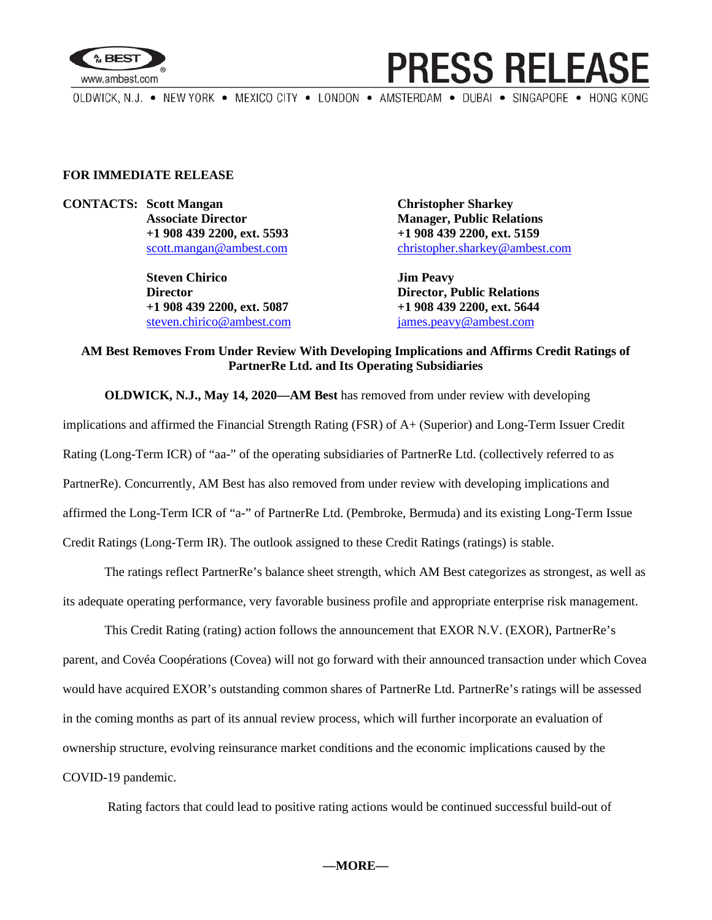

## **PRESS RELEASE**

OLDWICK, N.J. . NEW YORK . MEXICO CITY . LONDON . AMSTERDAM . DUBAI . SINGAPORE . HONG KONG

#### **FOR IMMEDIATE RELEASE**

**CONTACTS: Scott Mangan Christopher Sharkey**

**Steven Chirico Jim Peavy Director Director, Public Relations +1 908 439 2200, ext. 5087 +1 908 439 2200, ext. 5644** [steven.chirico@ambest.com](mailto:steven.chirico@ambest.com) [james.peavy@ambest.com](mailto:james.peavy@ambest.com)

**Associate Director Manager, Public Relations +1 908 439 2200, ext. 5593 +1 908 439 2200, ext. 5159** [scott.mangan@ambest.com](mailto:scott.mangan@ambest.com) [christopher.sharkey@ambest.com](mailto:christopher.sharkey@ambest.com)

### **AM Best Removes From Under Review With Developing Implications and Affirms Credit Ratings of PartnerRe Ltd. and Its Operating Subsidiaries**

**OLDWICK, N.J., May 14, 2020—AM Best** has removed from under review with developing implications and affirmed the Financial Strength Rating (FSR) of A+ (Superior) and Long-Term Issuer Credit Rating (Long-Term ICR) of "aa-" of the operating subsidiaries of PartnerRe Ltd. (collectively referred to as PartnerRe). Concurrently, AM Best has also removed from under review with developing implications and affirmed the Long-Term ICR of "a-" of PartnerRe Ltd. (Pembroke, Bermuda) and its existing Long-Term Issue Credit Ratings (Long-Term IR). The outlook assigned to these Credit Ratings (ratings) is stable.

The ratings reflect PartnerRe's balance sheet strength, which AM Best categorizes as strongest, as well as its adequate operating performance, very favorable business profile and appropriate enterprise risk management.

This Credit Rating (rating) action follows the announcement that EXOR N.V. (EXOR), PartnerRe's parent, and Covéa Coopérations (Covea) will not go forward with their announced transaction under which Covea would have acquired EXOR's outstanding common shares of PartnerRe Ltd. PartnerRe's ratings will be assessed in the coming months as part of its annual review process, which will further incorporate an evaluation of ownership structure, evolving reinsurance market conditions and the economic implications caused by the COVID-19 pandemic.

Rating factors that could lead to positive rating actions would be continued successful build-out of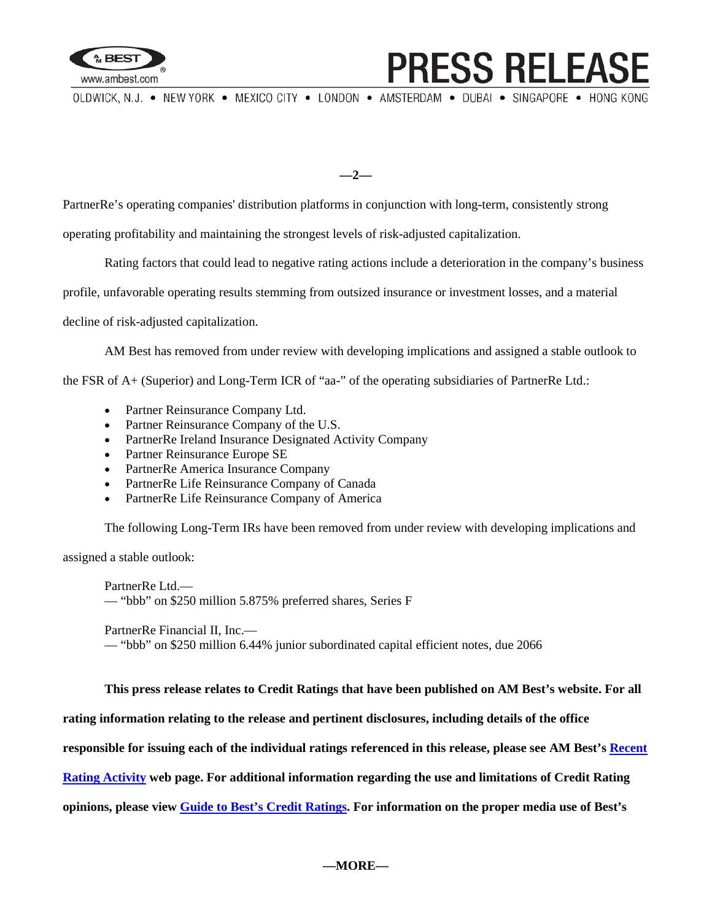

# **PRESS RELEAS**

OLDWICK, N.J. . NEW YORK . MEXICO CITY . LONDON . AMSTERDAM . DUBAI . SINGAPORE . HONG KONG

**—2—**

PartnerRe's operating companies' distribution platforms in conjunction with long-term, consistently strong

operating profitability and maintaining the strongest levels of risk-adjusted capitalization.

Rating factors that could lead to negative rating actions include a deterioration in the company's business

profile, unfavorable operating results stemming from outsized insurance or investment losses, and a material

decline of risk-adjusted capitalization.

AM Best has removed from under review with developing implications and assigned a stable outlook to

the FSR of A+ (Superior) and Long-Term ICR of "aa-" of the operating subsidiaries of PartnerRe Ltd.:

- Partner Reinsurance Company Ltd.
- Partner Reinsurance Company of the U.S.
- PartnerRe Ireland Insurance Designated Activity Company
- Partner Reinsurance Europe SE
- PartnerRe America Insurance Company
- PartnerRe Life Reinsurance Company of Canada
- PartnerRe Life Reinsurance Company of America

The following Long-Term IRs have been removed from under review with developing implications and

assigned a stable outlook:

PartnerRe Ltd.— — "bbb" on \$250 million 5.875% preferred shares, Series F

PartnerRe Financial II, Inc.—

— "bbb" on \$250 million 6.44% junior subordinated capital efficient notes, due 2066

**This press release relates to Credit Ratings that have been published on AM Best's website. For all** 

**rating information relating to the release and pertinent disclosures, including details of the office** 

**responsible for issuing each of the individual ratings referenced in this release, please see AM Best's [Recent](http://ratings.ambest.com/ratingeventdisclosures.aspx)** 

**[Rating Activity](http://ratings.ambest.com/ratingeventdisclosures.aspx) web page. For additional information regarding the use and limitations of Credit Rating** 

**opinions, please view [Guide to Best's Credit Ratings.](http://www3.ambest.com/ambv/ratingmethodology/OpenPDF.aspx?ri=1303) For information on the proper media use of Best's**